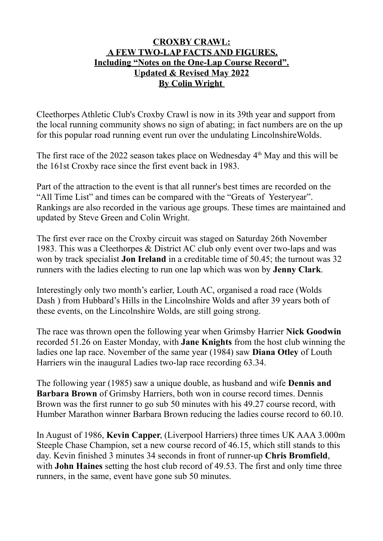## **CROXBY CRAWL: A FEW TWO-LAP FACTS AND FIGURES. Including "Notes on the One-Lap Course Record". Updated & Revised May 2022 By Colin Wright**

Cleethorpes Athletic Club's Croxby Crawl is now in its 39th year and support from the local running community shows no sign of abating; in fact numbers are on the up for this popular road running event run over the undulating LincolnshireWolds.

The first race of the 2022 season takes place on Wednesday  $4<sup>th</sup>$  May and this will be the 161st Croxby race since the first event back in 1983.

Part of the attraction to the event is that all runner's best times are recorded on the "All Time List" and times can be compared with the "Greats of Yesteryear". Rankings are also recorded in the various age groups. These times are maintained and updated by Steve Green and Colin Wright.

The first ever race on the Croxby circuit was staged on Saturday 26th November 1983. This was a Cleethorpes & District AC club only event over two-laps and was won by track specialist **Jon Ireland** in a creditable time of 50.45; the turnout was 32 runners with the ladies electing to run one lap which was won by **Jenny Clark**.

Interestingly only two month's earlier, Louth AC, organised a road race (Wolds Dash ) from Hubbard's Hills in the Lincolnshire Wolds and after 39 years both of these events, on the Lincolnshire Wolds, are still going strong.

The race was thrown open the following year when Grimsby Harrier **Nick Goodwin** recorded 51.26 on Easter Monday, with **Jane Knights** from the host club winning the ladies one lap race. November of the same year (1984) saw **Diana Otley** of Louth Harriers win the inaugural Ladies two-lap race recording 63.34.

The following year (1985) saw a unique double, as husband and wife **Dennis and Barbara Brown** of Grimsby Harriers, both won in course record times. Dennis Brown was the first runner to go sub 50 minutes with his 49.27 course record, with Humber Marathon winner Barbara Brown reducing the ladies course record to 60.10.

In August of 1986, **Kevin Capper**, (Liverpool Harriers) three times UK AAA 3.000m Steeple Chase Champion, set a new course record of 46.15, which still stands to this day. Kevin finished 3 minutes 34 seconds in front of runner-up **Chris Bromfield**, with **John Haines** setting the host club record of 49.53. The first and only time three runners, in the same, event have gone sub 50 minutes.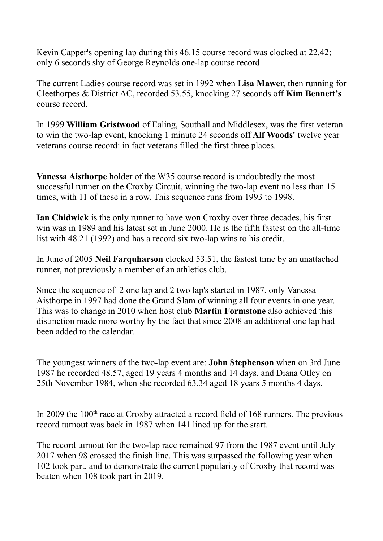Kevin Capper's opening lap during this 46.15 course record was clocked at 22.42; only 6 seconds shy of George Reynolds one-lap course record.

The current Ladies course record was set in 1992 when **Lisa Mawer,** then running for Cleethorpes & District AC, recorded 53.55, knocking 27 seconds off **Kim Bennett's** course record.

In 1999 **William Gristwood** of Ealing, Southall and Middlesex, was the first veteran to win the two-lap event, knocking 1 minute 24 seconds off **Alf Woods'** twelve year veterans course record: in fact veterans filled the first three places.

**Vanessa Aisthorpe** holder of the W35 course record is undoubtedly the most successful runner on the Croxby Circuit, winning the two-lap event no less than 15 times, with 11 of these in a row. This sequence runs from 1993 to 1998.

**Ian Chidwick** is the only runner to have won Croxby over three decades, his first win was in 1989 and his latest set in June 2000. He is the fifth fastest on the all-time list with 48.21 (1992) and has a record six two-lap wins to his credit.

In June of 2005 **Neil Farquharson** clocked 53.51, the fastest time by an unattached runner, not previously a member of an athletics club.

Since the sequence of 2 one lap and 2 two lap's started in 1987, only Vanessa Aisthorpe in 1997 had done the Grand Slam of winning all four events in one year. This was to change in 2010 when host club **Martin Formstone** also achieved this distinction made more worthy by the fact that since 2008 an additional one lap had been added to the calendar.

The youngest winners of the two-lap event are: **John Stephenson** when on 3rd June 1987 he recorded 48.57, aged 19 years 4 months and 14 days, and Diana Otley on 25th November 1984, when she recorded 63.34 aged 18 years 5 months 4 days.

In 2009 the  $100<sup>th</sup>$  race at Croxby attracted a record field of 168 runners. The previous record turnout was back in 1987 when 141 lined up for the start.

The record turnout for the two-lap race remained 97 from the 1987 event until July 2017 when 98 crossed the finish line. This was surpassed the following year when 102 took part, and to demonstrate the current popularity of Croxby that record was beaten when 108 took part in 2019.